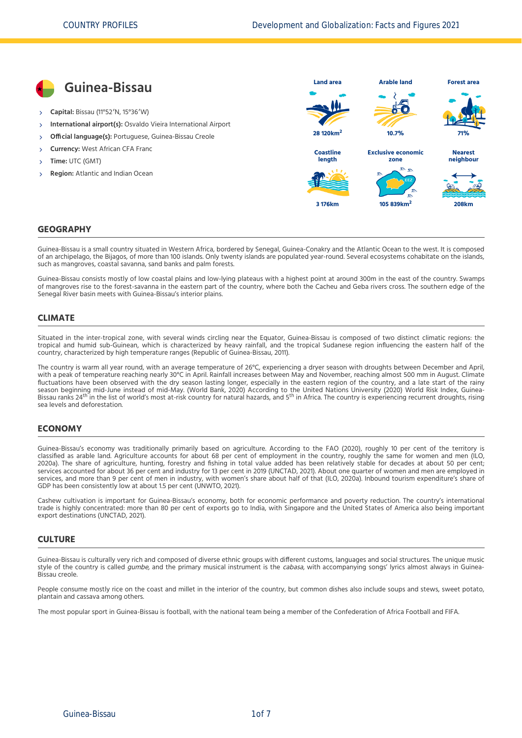

### **GEOGRAPHY**

Guinea-Bissau is a small country situated in Western Africa, bordered by Senegal, Guinea-Conakry and the Atlantic Ocean to the west. It is composed of an archipelago, the Bijagos, of more than 100 islands. Only twenty islands are populated year-round. Several ecosystems cohabitate on the islands, such as mangroves, coastal savanna, sand banks and palm forests.

Guinea-Bissau consists mostly of low coastal plains and low-lying plateaus with a highest point at around 300m in the east of the country. Swamps of mangroves rise to the forest-savanna in the eastern part of the country, where both the Cacheu and Geba rivers cross. The southern edge of the Senegal River basin meets with Guinea-Bissau's interior plains.

#### **CLIMATE**

Situated in the inter-tropical zone, with several winds circling near the Equator, Guinea-Bissau is composed of two distinct climatic regions: the tropical and humid sub-Guinean, which is characterized by heavy rainfall, and the tropical Sudanese region influencing the eastern half of the country, characterized by high temperature ranges [\(Republic of Guinea-Bissau, 2011\)](#page-6-0).

The country is warm all year round, with an average temperature of 26°C, experiencing a dryer season with droughts between December and April, with a peak of temperature reaching nearly 30°C in April. Rainfall increases between May and November, reaching almost 500 mm in August. Climate fluctuations have been observed with the dry season lasting longer, especially in the eastern region of the country, and a late start of the rainy season beginning mid-June instead of mid-May. [\(World Bank, 2020\)](#page-6-1) According to the United Nations University [\(2020\)](#page-6-2) World Risk Index, Guinea-<br>Bissau ranks 24<sup>th</sup> in the list of world's most at-risk country for natural hazar sea levels and deforestation.

#### **ECONOMY**

Guinea-Bissau's economy was traditionally primarily based on agriculture. According to the [FAO \(2020\)](#page-6-3), roughly 10 per cent of the territory is [classified as arable land. Agriculture accounts for about 68 per cent of employment in the country, roughly the same for women and men \(ILO,](#page-6-4) 2020a). The share of agriculture, hunting, forestry and fishing in total value added has been relatively stable for decades at about 50 per cent; services accounted for about 36 per cent and industry for 13 per cent in 2019 [\(UNCTAD, 2021\)](#page-6-5). About one quarter of women and men are employed in services, and more than 9 per cent of men in industry, with women's share about half of that [\(ILO, 2020a\)](#page-6-4). Inbound tourism expenditure's share of GDP has been consistently low at about 1.5 per cent [\(UNWTO, 2021\).](#page-6-6)

Cashew cultivation is important for Guinea-Bissau's economy, both for economic performance and poverty reduction. The country's international trade is highly concentrated: more than 80 per cent of exports go to India, with Singapore and the United States of America also being important export destinations [\(UNCTAD, 2021\)](#page-6-5).

#### **CULTURE**

Guinea-Bissau is culturally very rich and composed of diverse ethnic groups with different customs, languages and social structures. The unique music style of the country is called gumbe, and the primary musical instrument is the cabasa, with accompanying songs' lyrics almost always in Guinea-Bissau creole.

People consume mostly rice on the coast and millet in the interior of the country, but common dishes also include soups and stews, sweet potato, plantain and cassava among others.

The most popular sport in Guinea-Bissau is football, with the national team being a member of the Confederation of Africa Football and FIFA.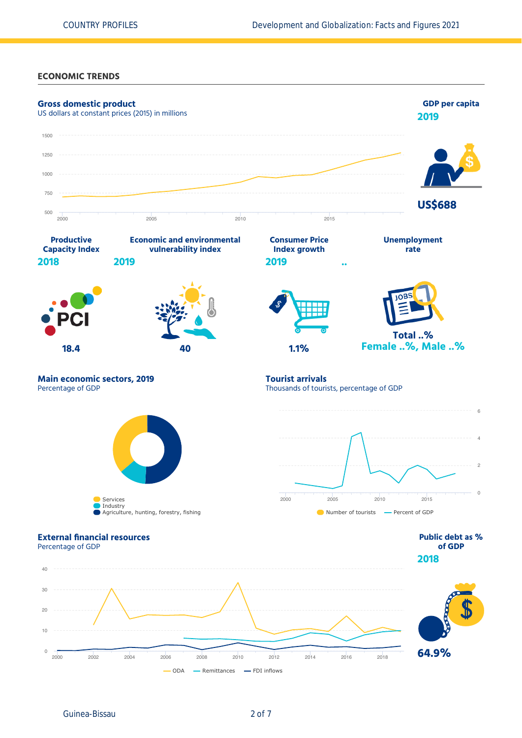### **ECONOMIC TRENDS**

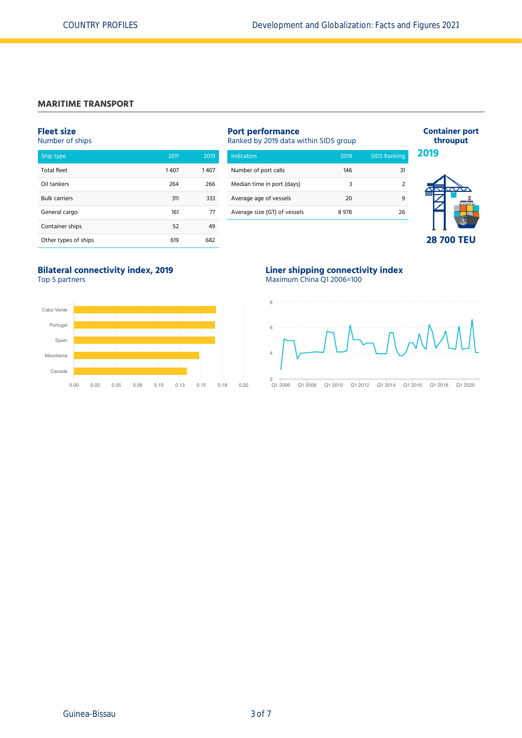### **MARITIME TRANSPORT**

### **Fleet size**

Number of ships

| Ship type            | 2011 | 2019 |
|----------------------|------|------|
| <b>Total fleet</b>   | 1407 | 1407 |
| Oil tankers          | 264  | 266  |
| <b>Bulk carriers</b> | 311  | 333  |
| General cargo        | 161  | 77   |
| Container ships      | 52   | 49   |
| Other types of ships | 619  | 682  |

# **Port performance** Ranked by 2019 data within SIDS group

| Number of port calls         | 146  |    |
|------------------------------|------|----|
| Median time in port (days)   |      |    |
| Average age of vessels       | 20   |    |
| Average size (GT) of vessels | 8978 | 26 |
|                              |      |    |



**Container port throuput**

### **Bilateral connectivity index, 2019** Top 5 partners



### **Liner shipping connectivity index** Maximum China Q1 2006=100

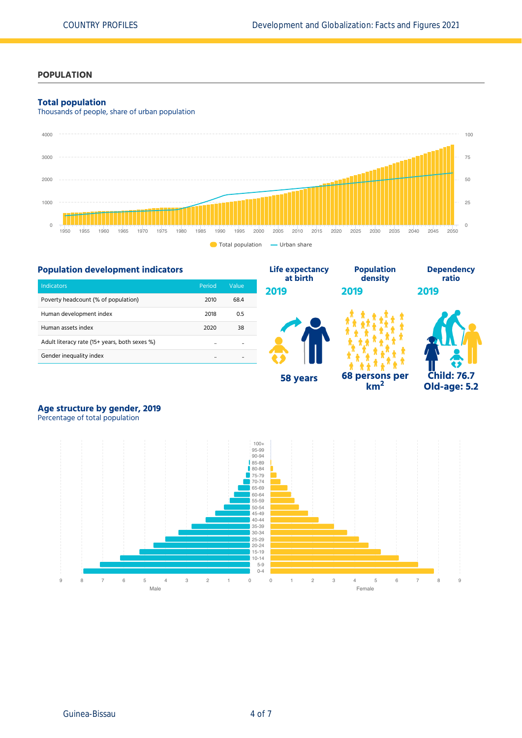### **POPULATION**

### **Total population**

Thousands of people, share of urban population





# **Age structure by gender, 2019**

Percentage of total population

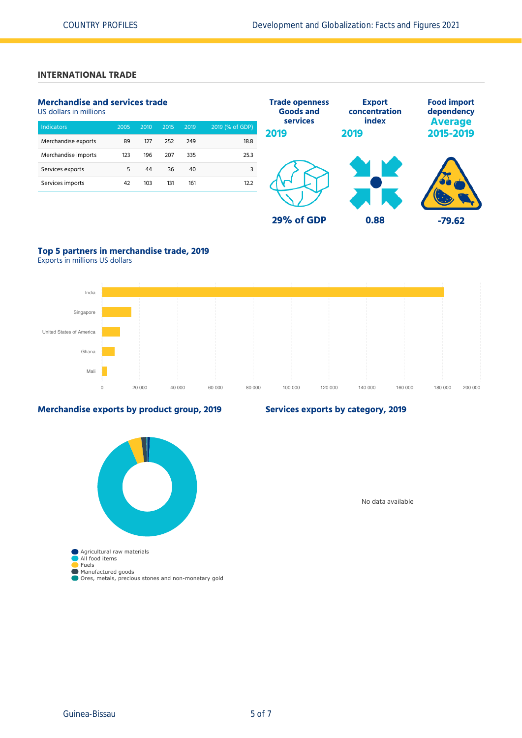# **INTERNATIONAL TRADE**

# **Merchandise and services trade**

US dollars in millions

| <b>Indicators</b>   | 2005 | 2010 | 2015 | 2019 | 2019 (% of GDP) |
|---------------------|------|------|------|------|-----------------|
| Merchandise exports | 89   | 127  | 252  | 249  | 18.8            |
| Merchandise imports | 123  | 196  | 207  | 335  | 25.3            |
| Services exports    | 5    | 44   | 36   | 40   | 3               |
| Services imports    | 42   | 103  | 131  | 161  | 12.2            |
|                     |      |      |      |      |                 |



# **Top 5 partners in merchandise trade, 2019**

Exports in millions US dollars



### **Merchandise exports by product group, 2019**

# **Services exports by category, 2019**

Agricultural raw materials All food items Fuels Manufactured goods Ores, metals, precious stones and non-monetary gold

No data available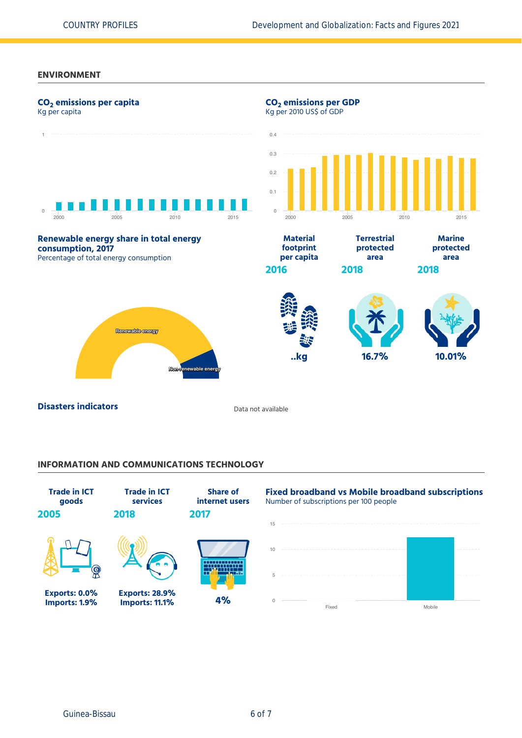### **ENVIRONMENT**



**Disasters indicators Disasters indicators Data not available** 

### **INFORMATION AND COMMUNICATIONS TECHNOLOGY**